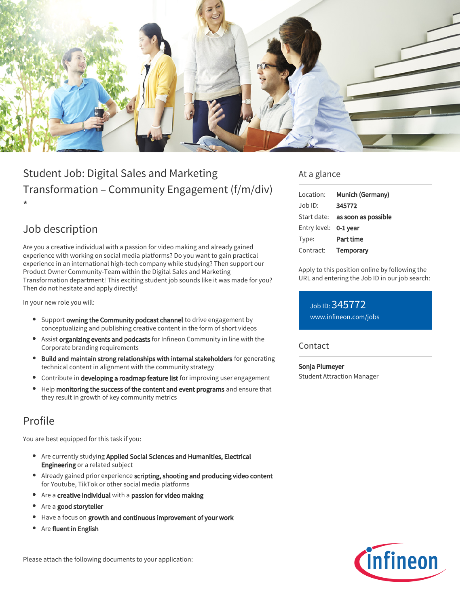

# Student Job: Digital Sales and Marketing Transformation – Community Engagement (f/m/div) \*

## Job description

Are you a creative individual with a passion for video making and already gained experience with working on social media platforms? Do you want to gain practical experience in an international high-tech company while studying? Then support our Product Owner Community-Team within the Digital Sales and Marketing Transformation department! This exciting student job sounds like it was made for you? Then do not hesitate and apply directly!

In your new role you will:

- **Support owning the Community podcast channel** to drive engagement by conceptualizing and publishing creative content in the form of short videos
- **Assist organizing events and podcasts** for Infineon Community in line with the Corporate branding requirements
- Build and maintain strong relationships with internal stakeholders for generating technical content in alignment with the community strategy
- **•** Contribute in developing a roadmap feature list for improving user engagement
- $\bullet$ Help monitoring the success of the content and event programs and ensure that they result in growth of key community metrics

## Profile

You are best equipped for this task if you:

- Are currently studying Applied Social Sciences and Humanities, Electrical Engineering or a related subject
- Already gained prior experience scripting, shooting and producing video content for Youtube, TikTok or other social media platforms
- Are a creative individual with a passion for video making
- Are a good storyteller
- Have a focus on growth and continuous improvement of your work
- Are fluent in English

Please attach the following documents to your application:

### At a glance

| Location:             | Munich (Germany)                       |
|-----------------------|----------------------------------------|
| Job ID:               | 345772                                 |
|                       | Start date: <b>as soon as possible</b> |
| Entry level: 0-1 year |                                        |
| Type:                 | Part time                              |
| Contract:             | <b>Temporary</b>                       |

Apply to this position online by following the URL and entering the Job ID in our job search:

Job ID: 345772 [www.infineon.com/jobs](https://www.infineon.com/jobs)

#### Contact

Sonja Plumeyer Student Attraction Manager